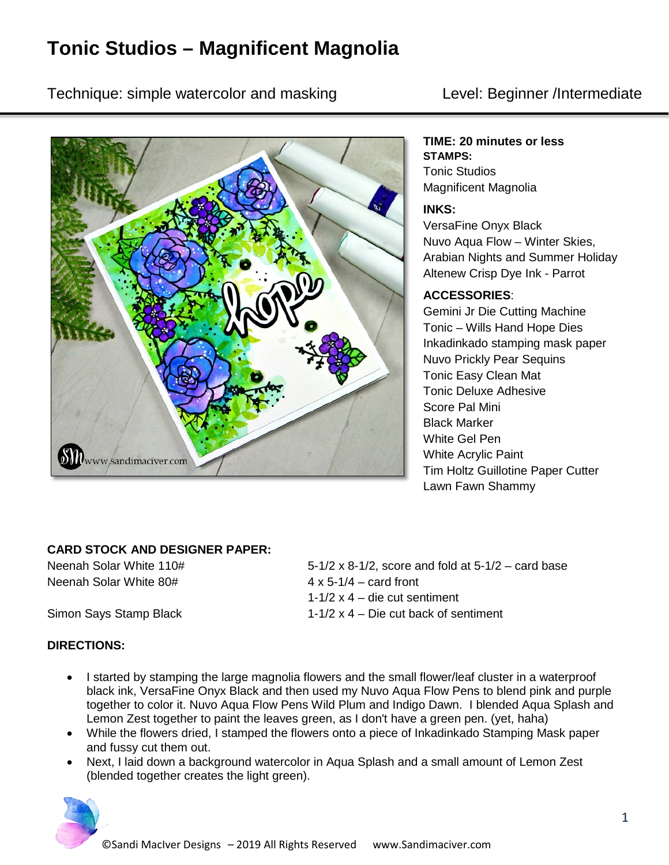# **Tonic Studios – Magnificent Magnolia**

Technique: simple watercolor and masking Technique: Level: Beginner /Intermediate



### **TIME: 20 minutes or less**

**STAMPS:** Tonic Studios Magnificent Magnolia

#### **INKS:**

VersaFine Onyx Black Nuvo Aqua Flow – Winter Skies, Arabian Nights and Summer Holiday Altenew Crisp Dye Ink - Parrot

#### **ACCESSORIES**:

Gemini Jr Die Cutting Machine Tonic – Wills Hand Hope Dies Inkadinkado stamping mask paper Nuvo Prickly Pear Sequins Tonic Easy Clean Mat Tonic Deluxe Adhesive Score Pal Mini Black Marker White Gel Pen White Acrylic Paint Tim Holtz Guillotine Paper Cutter Lawn Fawn Shammy

#### **CARD STOCK AND DESIGNER PAPER:**

Neenah Solar White  $80#$   $4 \times 5-1/4$  – card front

## Neenah Solar White 110#  $5-1/2 \times 8-1/2$ , score and fold at  $5-1/2$  – card base 1-1/2 x 4 – die cut sentiment Simon Says Stamp Black 1-1/2 x 4 – Die cut back of sentiment

#### **DIRECTIONS:**

- I started by stamping the large magnolia flowers and the small flower/leaf cluster in a waterproof black ink, VersaFine Onyx Black and then used my Nuvo Aqua Flow Pens to blend pink and purple together to color it. Nuvo Aqua Flow Pens Wild Plum and Indigo Dawn. I blended Aqua Splash and Lemon Zest together to paint the leaves green, as I don't have a green pen. (yet, haha)
- While the flowers dried, I stamped the flowers onto a piece of Inkadinkado Stamping Mask paper and fussy cut them out.
- Next, I laid down a background watercolor in Aqua Splash and a small amount of Lemon Zest (blended together creates the light green).

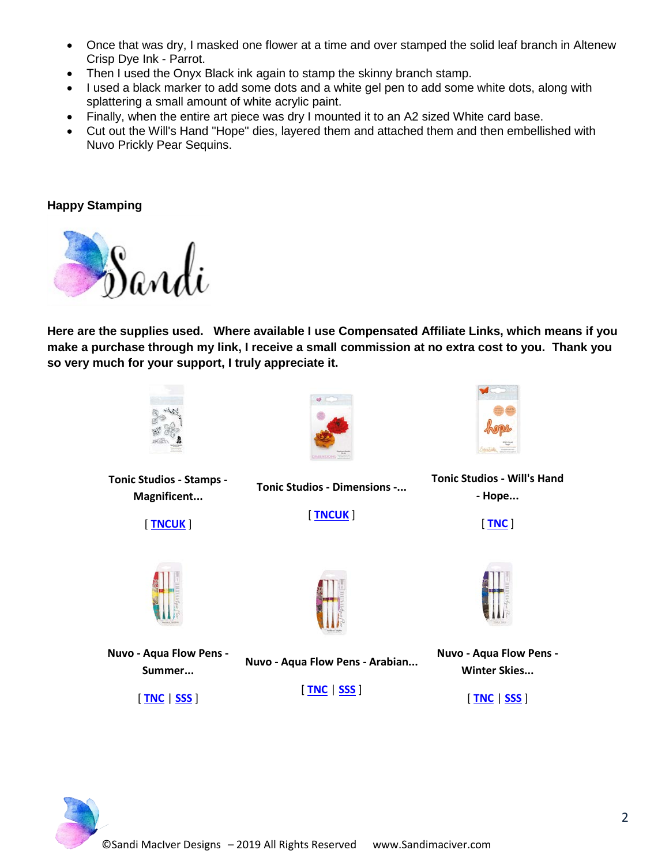- Once that was dry, I masked one flower at a time and over stamped the solid leaf branch in Altenew Crisp Dye Ink - Parrot.
- Then I used the Onyx Black ink again to stamp the skinny branch stamp.
- I used a black marker to add some dots and a white gel pen to add some white dots, along with splattering a small amount of white acrylic paint.
- Finally, when the entire art piece was dry I mounted it to an A2 sized White card base.
- Cut out the Will's Hand "Hope" dies, layered them and attached them and then embellished with Nuvo Prickly Pear Sequins.

#### **Happy Stamping**



**Here are the supplies used. Where available I use Compensated Affiliate Links, which means if you make a purchase through my link, I receive a small commission at no extra cost to you. Thank you so very much for your support, I truly appreciate it.**



**Tonic Studios - Stamps - Magnificent...**

[ **[TNCUK](https://ldli.co/e/z09657)** ]



**Tonic Studios - Dimensions -...** [ **[TNCUK](https://ldli.co/e/9zngrk)** ]



**Tonic Studios - Will's Hand - Hope...**

[ **[TNC](https://ldli.co/e/klom7p)** ]



**Nuvo - Aqua Flow Pens - Summer...**

[ **[TNC](https://ldli.co/e/71knqy)** | **[SSS](https://ldli.co/e/ndgj2p)** ]



**Nuvo - Aqua Flow Pens - Arabian...**

[ **[TNC](https://ldli.co/e/6x97m9)** | **[SSS](https://ldli.co/e/g5d4r7)** ]



**Nuvo - Aqua Flow Pens - Winter Skies...**

[ **[TNC](https://ldli.co/e/0emxzl)** | **[SSS](https://ldli.co/e/4md945)** ]

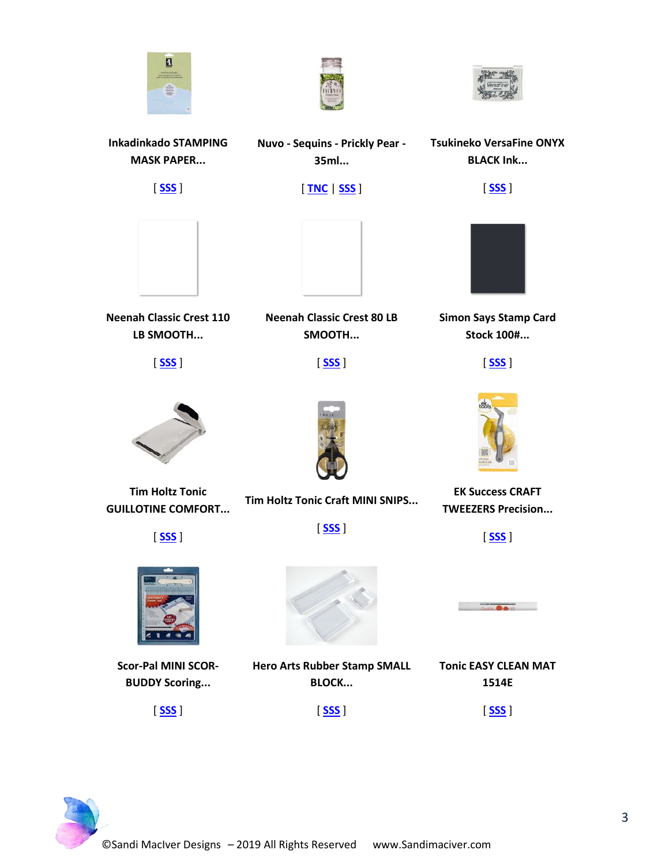





**Tsukineko VersaFine ONYX BLACK Ink...**

[ **[SSS](https://ldli.co/e/m160mm)** ]

**Inkadinkado STAMPING MASK PAPER...** [ **[SSS](https://ldli.co/e/2mxdn9)** ] **35ml...** [ **[TNC](https://ldli.co/e/5lzk5k)** | **[SSS](https://ldli.co/e/3m1zgg)** ]



**Neenah Classic Crest 110 LB SMOOTH...**

[ **[SSS](https://ldli.co/e/epxqk2)** ]



**Tim Holtz Tonic GUILLOTINE COMFORT...**





**Scor-Pal MINI SCOR-BUDDY Scoring...**







**Neenah Classic Crest 80 LB SMOOTH...**

[ **[SSS](https://ldli.co/e/qk2j6r)** ]



**Simon Says Stamp Card Stock 100#...**

[ **[SSS](https://ldli.co/e/jmk9eo)** ]



**Tim Holtz Tonic Craft MINI SNIPS...**

[ **[SSS](https://ldli.co/e/p94en0)** ]

**Hero Arts Rubber Stamp SMALL BLOCK...**

[ **[SSS](https://ldli.co/e/lxn601)** ]



**EK Success CRAFT TWEEZERS Precision...**

[ **[SSS](https://ldli.co/e/r75pyz)** ]



**Tonic EASY CLEAN MAT 1514E** [ **[SSS](https://ldli.co/e/xjdgej)** ]